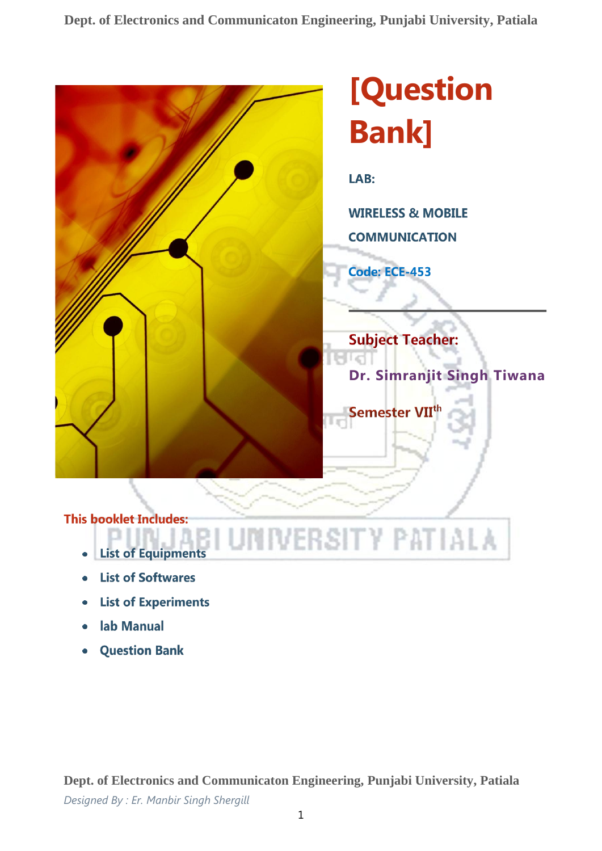**Dept. of Electronics and Communicaton Engineering, Punjabi University, Patiala**



# **[Question Bank]**

LAB:

**WIRELESS & MOBILE** 

**COMMUNICATION** 

**Code: ECE-453** 

Semester VII<sup>t</sup>

VERSITY PATIALA

**Subject Teacher: Dr. Simranjit Singh Tiwana**

# **This booklet Includes:**

- **List of Equipments**
- **List of Softwares**
- **List of Experiments**
- lab Manual
- **Question Bank**

**Dept. of Electronics and Communicaton Engineering, Punjabi University, Patiala** *Designed By : Er. Manbir Singh Shergill*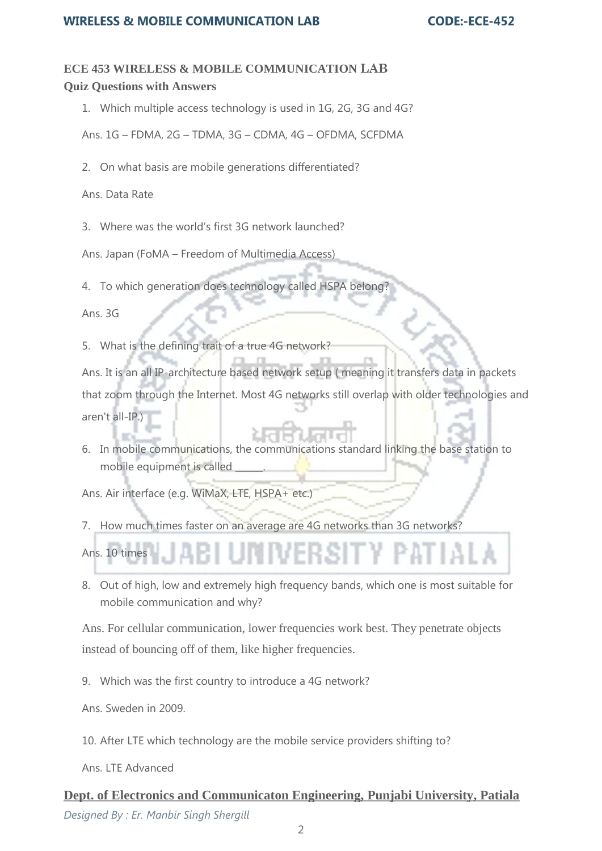### **ECE 453 WIRELESS & MOBILE COMMUNICATION LAB Quiz Questions with Answers**

1. Which multiple access technology is used in 1G, 2G, 3G and 4G?

Ans. 1G – FDMA, 2G – TDMA, 3G – CDMA, 4G – OFDMA, SCFDMA

2. On what basis are mobile generations differentiated?

Ans. Data Rate

3. Where was the world's first 3G network launched?

Ans. Japan (FoMA – Freedom of Multimedia Access)

4. To which generation does technology called HSPA belong?

Ans. 3G

5. What is the defining trait of a true 4G network?

Ans. It is an all IP-architecture based network setup ( meaning it transfers data in packets that zoom through the Internet. Most 4G networks still overlap with older technologies and aren't all-IP.)

6. In mobile communications, the communications standard linking the base station to mobile equipment is called \_\_\_\_\_\_.

Ans. Air interface (e.g. WiMaX, LTE, HSPA+ etc.)

7. How much times faster on an average are 4G networks than 3G networks?



8. Out of high, low and extremely high frequency bands, which one is most suitable for mobile communication and why?

Ans. For cellular communication, lower frequencies work best. They penetrate objects instead of bouncing off of them, like higher frequencies.

9. Which was the first country to introduce a 4G network?

Ans. Sweden in 2009.

10. After LTE which technology are the mobile service providers shifting to?

Ans. LTE Advanced

## **Dept. of Electronics and Communicaton Engineering, Punjabi University, Patiala** *Designed By : Er. Manbir Singh Shergill*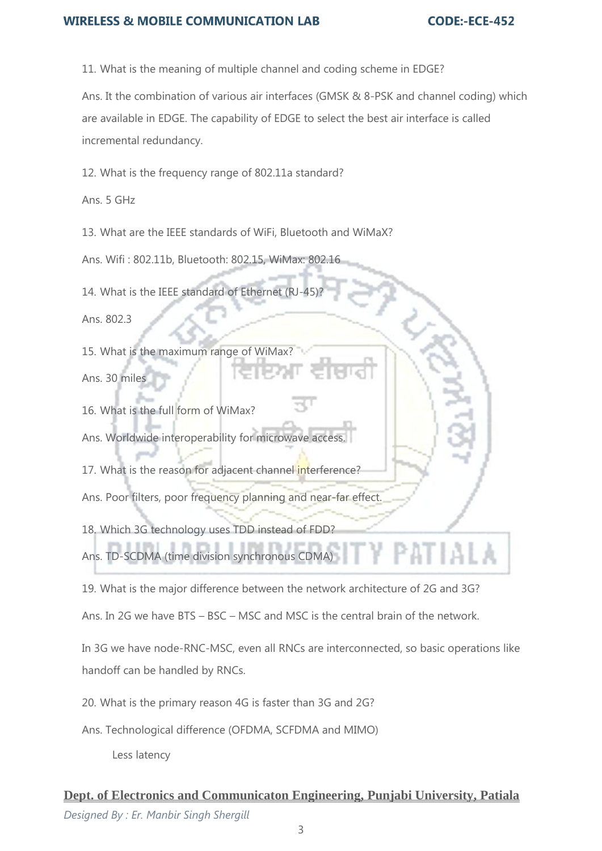#### **WIRELESS & MOBILE COMMUNICATION LAB**

11. What is the meaning of multiple channel and coding scheme in EDGE?

Ans. It the combination of various air interfaces (GMSK & 8-PSK and channel coding) which are available in EDGE. The capability of EDGE to select the best air interface is called incremental redundancy.

12. What is the frequency range of 802.11a standard?

Ans. 5 GHz

13. What are the IEEE standards of WiFi, Bluetooth and WiMaX?

Ans. Wifi : 802.11b, Bluetooth: 802.15, WiMax: 802.16

14. What is the IEEE standard of Ethernet (RJ-45)?

Ans. 802.3

15. What is the maximum range of WiMax? Ans. 30 miles

16. What is the full form of WiMax?

Ans. Worldwide interoperability for microwave access.

17. What is the reason for adjacent channel interference?

Ans. Poor filters, poor frequency planning and near-far effect.

18. Which 3G technology uses TDD instead of FDD?

Ans. TD-SCDMA (time division synchronous CDMA)

19. What is the major difference between the network architecture of 2G and 3G?

Ans. In 2G we have BTS – BSC – MSC and MSC is the central brain of the network.

In 3G we have node-RNC-MSC, even all RNCs are interconnected, so basic operations like handoff can be handled by RNCs.

20. What is the primary reason 4G is faster than 3G and 2G?

Ans. Technological difference (OFDMA, SCFDMA and MIMO)

Less latency

# **Dept. of Electronics and Communicaton Engineering, Punjabi University, Patiala** *Designed By : Er. Manbir Singh Shergill*